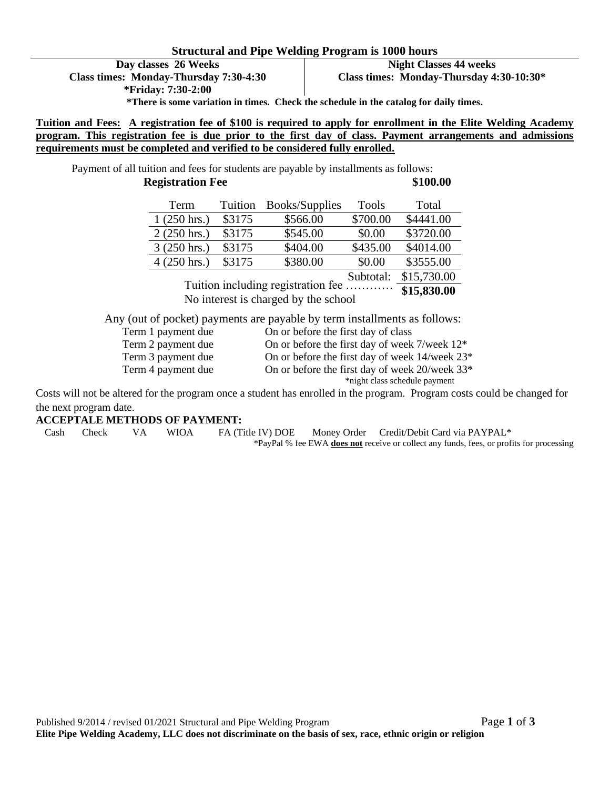#### **Structural and Pipe Welding Program is 1000 hours**

**Day classes 26 Weeks Class times: Monday-Thursday 7:30-4:30 \*Friday: 7:30-2:00**

**Night Classes 44 weeks Class times: Monday-Thursday 4:30-10:30\*** 

**\*There is some variation in times. Check the schedule in the catalog for daily times.**

**Tuition and Fees: A registration fee of \$100 is required to apply for enrollment in the Elite Welding Academy program. This registration fee is due prior to the first day of class. Payment arrangements and admissions requirements must be completed and verified to be considered fully enrolled.** 

Payment of all tuition and fees for students are payable by installments as follows: **Registration Fee** \$100.00

| Term                  | Tuition | <b>Books/Supplies</b> | <b>Tools</b> | Total       |
|-----------------------|---------|-----------------------|--------------|-------------|
| $1(250 \text{ hrs.})$ | \$3175  | \$566.00              | \$700.00     | \$4441.00   |
| $2(250 \text{ hrs.})$ | \$3175  | \$545.00              | \$0.00       | \$3720.00   |
| $3(250 \text{ hrs.})$ | \$3175  | \$404.00              | \$435.00     | \$4014.00   |
| $4(250 \text{ hrs.})$ | \$3175  | \$380.00              | \$0.00       | \$3555.00   |
|                       |         | $\sim$                | Subtotal:    | \$15,730.00 |

**\$15,830.00** Tuition including registration fee ………… No interest is charged by the school

Any (out of pocket) payments are payable by term installments as follows:

| Term 1 payment due | On or before the first day of class                           |
|--------------------|---------------------------------------------------------------|
| Term 2 payment due | On or before the first day of week $7$ /week $12^*$           |
| Term 3 payment due | On or before the first day of week $14$ /week $23*$           |
| Term 4 payment due | On or before the first day of week $20$ /week 33 <sup>*</sup> |
|                    | *night class schedule payment                                 |

Costs will not be altered for the program once a student has enrolled in the program. Program costs could be changed for the next program date.

#### **ACCEPTALE METHODS OF PAYMENT:**

Cash Check VA WIOA FA (Title IV) DOE Money Order Credit/Debit Card via PAYPAL\*

\*PayPal % fee EWA **does not** receive or collect any funds, fees, or profits for processing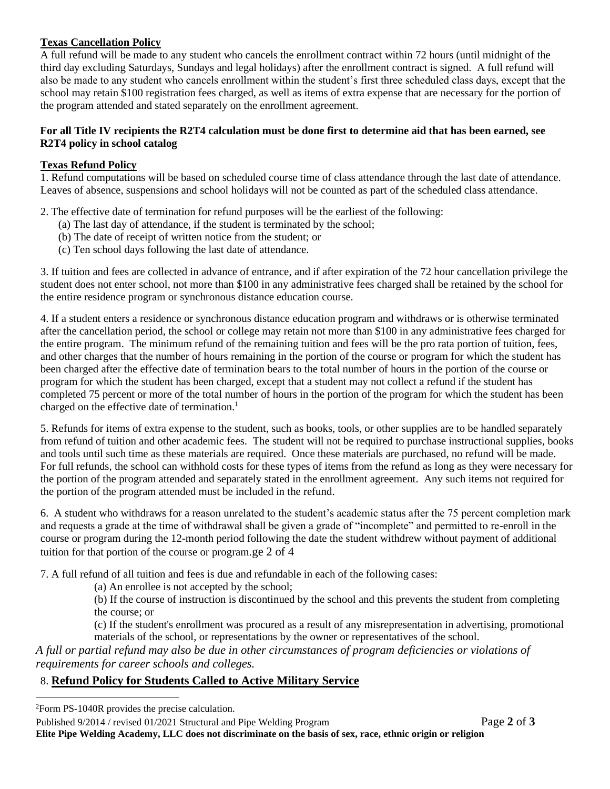### **Texas Cancellation Policy**

A full refund will be made to any student who cancels the enrollment contract within 72 hours (until midnight of the third day excluding Saturdays, Sundays and legal holidays) after the enrollment contract is signed. A full refund will also be made to any student who cancels enrollment within the student's first three scheduled class days, except that the school may retain \$100 registration fees charged, as well as items of extra expense that are necessary for the portion of the program attended and stated separately on the enrollment agreement.

### **For all Title IV recipients the R2T4 calculation must be done first to determine aid that has been earned, see R2T4 policy in school catalog**

### **Texas Refund Policy**

1. Refund computations will be based on scheduled course time of class attendance through the last date of attendance. Leaves of absence, suspensions and school holidays will not be counted as part of the scheduled class attendance.

2. The effective date of termination for refund purposes will be the earliest of the following:

- (a) The last day of attendance, if the student is terminated by the school;
- (b) The date of receipt of written notice from the student; or
- (c) Ten school days following the last date of attendance.

3. If tuition and fees are collected in advance of entrance, and if after expiration of the 72 hour cancellation privilege the student does not enter school, not more than \$100 in any administrative fees charged shall be retained by the school for the entire residence program or synchronous distance education course*.*

4. If a student enters a residence or synchronous distance education program and withdraws or is otherwise terminated after the cancellation period, the school or college may retain not more than \$100 in any administrative fees charged for the entire program. The minimum refund of the remaining tuition and fees will be the pro rata portion of tuition, fees, and other charges that the number of hours remaining in the portion of the course or program for which the student has been charged after the effective date of termination bears to the total number of hours in the portion of the course or program for which the student has been charged, except that a student may not collect a refund if the student has completed 75 percent or more of the total number of hours in the portion of the program for which the student has been charged on the effective date of termination.<sup>1</sup>

5. Refunds for items of extra expense to the student, such as books, tools, or other supplies are to be handled separately from refund of tuition and other academic fees. The student will not be required to purchase instructional supplies, books and tools until such time as these materials are required. Once these materials are purchased, no refund will be made. For full refunds, the school can withhold costs for these types of items from the refund as long as they were necessary for the portion of the program attended and separately stated in the enrollment agreement. Any such items not required for the portion of the program attended must be included in the refund.

6. A student who withdraws for a reason unrelated to the student's academic status after the 75 percent completion mark and requests a grade at the time of withdrawal shall be given a grade of "incomplete" and permitted to re-enroll in the course or program during the 12-month period following the date the student withdrew without payment of additional tuition for that portion of the course or program.ge 2 of 4

7. A full refund of all tuition and fees is due and refundable in each of the following cases:

(a) An enrollee is not accepted by the school;

(b) If the course of instruction is discontinued by the school and this prevents the student from completing the course; or

(c) If the student's enrollment was procured as a result of any misrepresentation in advertising, promotional materials of the school, or representations by the owner or representatives of the school.

*A full or partial refund may also be due in other circumstances of program deficiencies or violations of requirements for career schools and colleges.*

# 8. **Refund Policy for Students Called to Active Military Service**

<sup>2</sup>Form PS-1040R provides the precise calculation.

Published 9/2014 / revised 01/2021 Structural and Pipe Welding Program Page **2** of **3**

**Elite Pipe Welding Academy, LLC does not discriminate on the basis of sex, race, ethnic origin or religion**